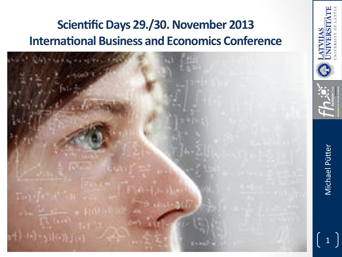## Scientific Days 29./30. November 2013 **International Business and Economics Conference**



Michael Pütter

 $\overline{1}$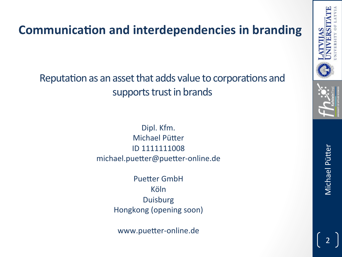#### **Communication and interdependencies in branding**

Reputation as an asset that adds value to corporations and supports trust in brands

> Dipl. Kfm. Michael Pütter ID 1111111008 michael.puetter@puetter-online.de

> > **Puetter GmbH** Köln Duisburg Hongkong (opening soon)

www.puetter-online.de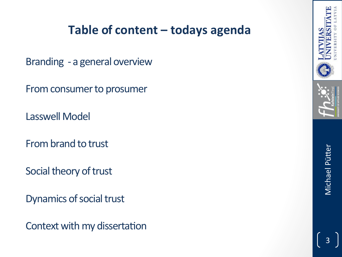#### Table of content - todays agenda

Branding - a general overview

From consumer to prosumer

**Lasswell Model** 

From brand to trust

Social theory of trust

Dynamics of social trust

Context with my dissertation



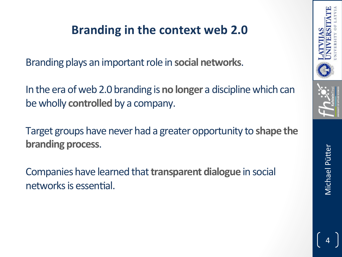#### **Branding in the context web 2.0**

Branding plays an important role in **social networks**.

In the era of web 2.0 branding is **no longer** a discipline which can be wholly **controlled** by a company.

Target groups have never had a greater opportunity to shape the **branding process.** 

Companies have learned that **transparent dialogue** in social networks is essential.



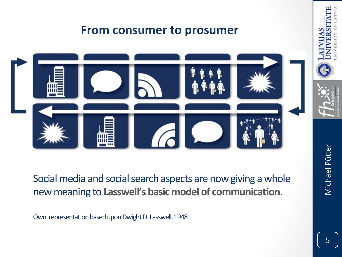

Social media and social search aspects are now giving a whole new meaning to Lasswell's basic model of communication.

Own representation based upon Dwight D. Lasswell, 1948

Michael Pütter Michael Pütter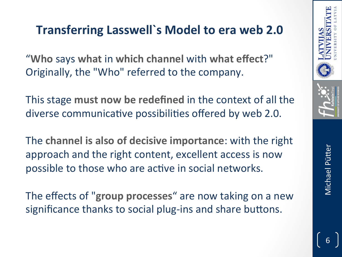#### **Transferring Lasswell's Model to era web 2.0**

"**Who** says **what** in **which channel** with **what effect**?" Originally, the "Who" referred to the company.

This stage **must now be redefined** in the context of all the diverse communicative possibilities offered by web 2.0.

The **channel is also of decisive importance**: with the right approach and the right content, excellent access is now possible to those who are active in social networks.

The effects of "group processes" are now taking on a new significance thanks to social plug-ins and share buttons.

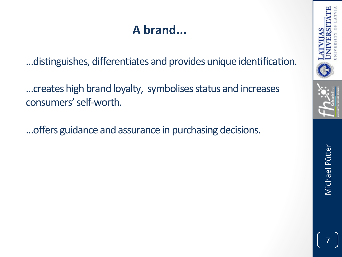## A brand...

... distinguishes, differentiates and provides unique identification.

... creates high brand loyalty, symbolises status and increases consumers' self-worth.

... offers guidance and assurance in purchasing decisions.

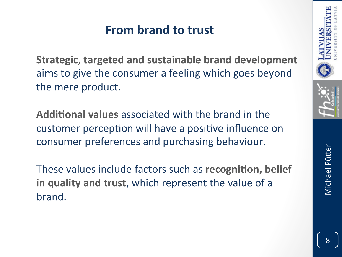#### **From brand to trust**

**Strategic, targeted and sustainable brand development** aims to give the consumer a feeling which goes beyond the mere product.

**Additional values** associated with the brand in the customer perception will have a positive influence on consumer preferences and purchasing behaviour.

These values include factors such as **recognition, belief in quality and trust**, which represent the value of a brand. 

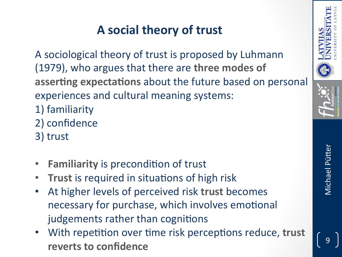## **A social theory of trust**

A sociological theory of trust is proposed by Luhmann (1979), who argues that there are **three modes of asserting expectations** about the future based on personal experiences and cultural meaning systems:

- 1) familiarity
- 2) confidence
- 3) trust
- **Familiarity** is precondition of trust
- Trust is required in situations of high risk
- At higher levels of perceived risk trust becomes necessary for purchase, which involves emotional judgements rather than cognitions
- With repetition over time risk perceptions reduce, trust **reverts to confidence**



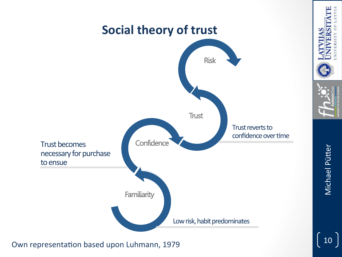

Own representation based upon Luhmann, 1979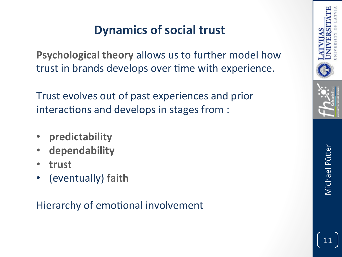#### **Dynamics of social trust**

**Psychological theory** allows us to further model how trust in brands develops over time with experience.

Trust evolves out of past experiences and prior interactions and develops in stages from :

- **predictability**
- **dependability**
- **trust**
- (eventually) faith

#### Hierarchy of emotional involvement

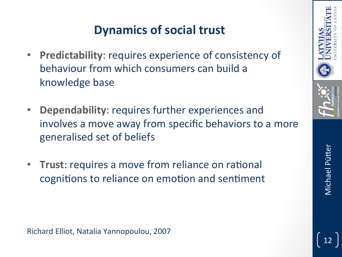#### **Dynamics of social trust**

- **Predictability: requires experience of consistency of** behaviour from which consumers can build a knowledge base
- **Dependability:** requires further experiences and involves a move away from specific behaviors to a more generalised set of beliefs
- **Trust**: requires a move from reliance on rational cognitions to reliance on emotion and sentiment



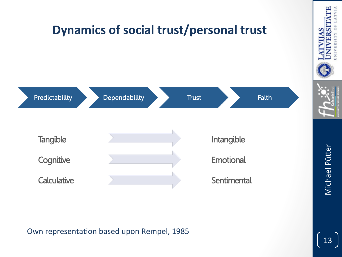

#### Own representation based upon Rempel, 1985

ERSIT

13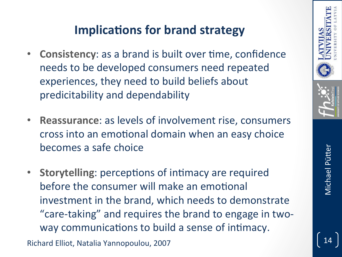#### **Implications for brand strategy**

- **Consistency**: as a brand is built over time, confidence needs to be developed consumers need repeated experiences, they need to build beliefs about predicitability and dependability
- **Reassurance:** as levels of involvement rise, consumers cross into an emotional domain when an easy choice becomes a safe choice
- **Storytelling**: perceptions of intimacy are required before the consumer will make an emotional investment in the brand, which needs to demonstrate "care-taking" and requires the brand to engage in twoway communications to build a sense of intimacy.

Richard Elliot, Natalia Yannopoulou, 2007



Michael Pütter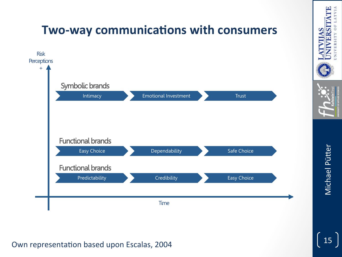

# Michael Pütter 15<br>Michael Pütter

NIVERSITY

#### Own representation based upon Escalas, 2004

15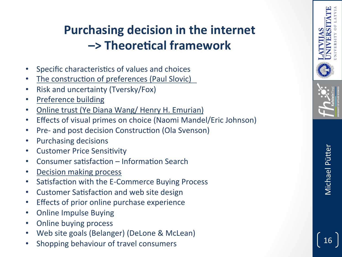## **Purchasing decision in the internet –> Theore'cal framework**

- Specific characteristics of values and choices
- The construction of preferences (Paul Slovic)
- Risk and uncertainty (Tversky/Fox)
- Preference building
- Online trust (Ye Diana Wang/ Henry H. Emurian)
- Effects of visual primes on choice (Naomi Mandel/Eric Johnson)
- Pre- and post decision Construction (Ola Svenson)
- Purchasing decisions
- Customer Price Sensitivity
- Consumer satisfaction Information Search
- **Decision making process**
- Satisfaction with the E-Commerce Buying Process
- Customer Satisfaction and web site design
- Effects of prior online purchase experience
- Online Impulse Buying
- Online buying process
- Web site goals (Belanger) (DeLone & McLean)
- Shopping behaviour of travel consumers

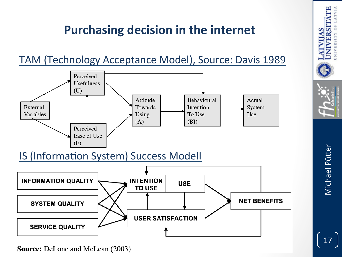#### **Purchasing decision in the internet**





**Source:** DeLone and McLean (2003)

Michael Pütter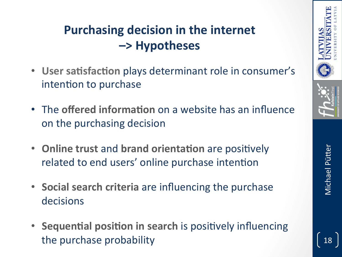## **Purchasing decision in the internet –> Hypotheses**

- User satisfaction plays determinant role in consumer's intention to purchase
- The **offered information** on a website has an influence on the purchasing decision
- Online trust and brand orientation are positively related to end users' online purchase intention
- Social search criteria are influencing the purchase decisions
- Sequential position in search is positively influencing the purchase probability